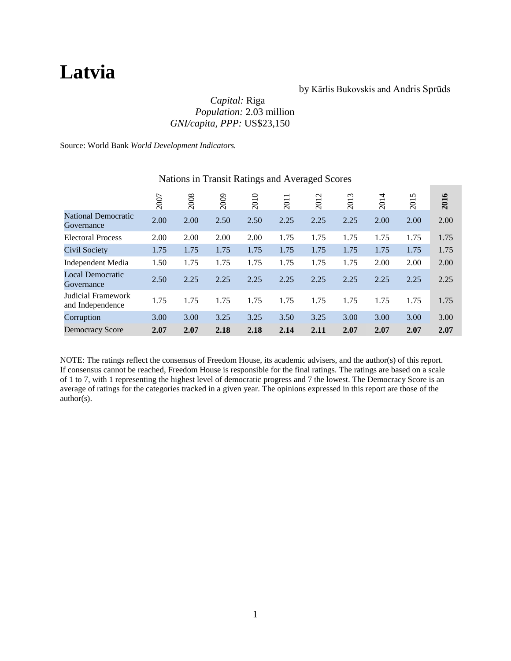# **Latvia**

### by Kārlis Bukovskis and Andris Sprūds

# *Capital:* Riga *Population:* 2.03 million *GNI/capita, PPP:* US\$23,150

Source: World Bank *World Development Indicators.*

|                                          | 2007 | 2008 | 2009 | 2010 | $\overline{\phantom{0}}$<br>201 | 2012 | 2013 | 2014 | 2015 | 2016 |
|------------------------------------------|------|------|------|------|---------------------------------|------|------|------|------|------|
| <b>National Democratic</b><br>Governance | 2.00 | 2.00 | 2.50 | 2.50 | 2.25                            | 2.25 | 2.25 | 2.00 | 2.00 | 2.00 |
| <b>Electoral Process</b>                 | 2.00 | 2.00 | 2.00 | 2.00 | 1.75                            | 1.75 | 1.75 | 1.75 | 1.75 | 1.75 |
| Civil Society                            | 1.75 | 1.75 | 1.75 | 1.75 | 1.75                            | 1.75 | 1.75 | 1.75 | 1.75 | 1.75 |
| Independent Media                        | 1.50 | 1.75 | 1.75 | 1.75 | 1.75                            | 1.75 | 1.75 | 2.00 | 2.00 | 2.00 |
| Local Democratic<br>Governance           | 2.50 | 2.25 | 2.25 | 2.25 | 2.25                            | 2.25 | 2.25 | 2.25 | 2.25 | 2.25 |
| Judicial Framework<br>and Independence   | 1.75 | 1.75 | 1.75 | 1.75 | 1.75                            | 1.75 | 1.75 | 1.75 | 1.75 | 1.75 |
| Corruption                               | 3.00 | 3.00 | 3.25 | 3.25 | 3.50                            | 3.25 | 3.00 | 3.00 | 3.00 | 3.00 |
| <b>Democracy Score</b>                   | 2.07 | 2.07 | 2.18 | 2.18 | 2.14                            | 2.11 | 2.07 | 2.07 | 2.07 | 2.07 |

# Nations in Transit Ratings and Averaged Scores

NOTE: The ratings reflect the consensus of Freedom House, its academic advisers, and the author(s) of this report. If consensus cannot be reached, Freedom House is responsible for the final ratings. The ratings are based on a scale of 1 to 7, with 1 representing the highest level of democratic progress and 7 the lowest. The Democracy Score is an average of ratings for the categories tracked in a given year. The opinions expressed in this report are those of the author(s).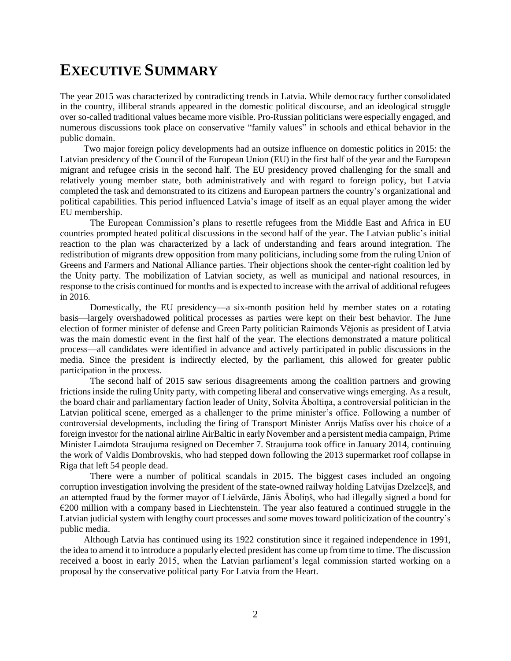# **EXECUTIVE SUMMARY**

The year 2015 was characterized by contradicting trends in Latvia. While democracy further consolidated in the country, illiberal strands appeared in the domestic political discourse, and an ideological struggle over so-called traditional values became more visible. Pro-Russian politicians were especially engaged, and numerous discussions took place on conservative "family values" in schools and ethical behavior in the public domain.

Two major foreign policy developments had an outsize influence on domestic politics in 2015: the Latvian presidency of the Council of the European Union (EU) in the first half of the year and the European migrant and refugee crisis in the second half. The EU presidency proved challenging for the small and relatively young member state, both administratively and with regard to foreign policy, but Latvia completed the task and demonstrated to its citizens and European partners the country's organizational and political capabilities. This period influenced Latvia's image of itself as an equal player among the wider EU membership.

The European Commission's plans to resettle refugees from the Middle East and Africa in EU countries prompted heated political discussions in the second half of the year. The Latvian public's initial reaction to the plan was characterized by a lack of understanding and fears around integration. The redistribution of migrants drew opposition from many politicians, including some from the ruling Union of Greens and Farmers and National Alliance parties. Their objections shook the center-right coalition led by the Unity party. The mobilization of Latvian society, as well as municipal and national resources, in response to the crisis continued for months and is expected to increase with the arrival of additional refugees in 2016.

Domestically, the EU presidency—a six-month position held by member states on a rotating basis—largely overshadowed political processes as parties were kept on their best behavior. The June election of former minister of defense and Green Party politician Raimonds Vējonis as president of Latvia was the main domestic event in the first half of the year. The elections demonstrated a mature political process—all candidates were identified in advance and actively participated in public discussions in the media. Since the president is indirectly elected, by the parliament, this allowed for greater public participation in the process.

The second half of 2015 saw serious disagreements among the coalition partners and growing frictions inside the ruling Unity party, with competing liberal and conservative wings emerging. As a result, the board chair and parliamentary faction leader of Unity, Solvita Āboltiņa, a controversial politician in the Latvian political scene, emerged as a challenger to the prime minister's office. Following a number of controversial developments, including the firing of Transport Minister Anrijs Matīss over his choice of a foreign investor for the national airline AirBaltic in early November and a persistent media campaign, Prime Minister Laimdota Straujuma resigned on December 7. Straujuma took office in January 2014, continuing the work of Valdis Dombrovskis, who had stepped down following the 2013 supermarket roof collapse in Riga that left 54 people dead.

There were a number of political scandals in 2015. The biggest cases included an ongoing corruption investigation involving the president of the state-owned railway holding Latvijas Dzelzceļš, and an attempted fraud by the former mayor of Lielvārde, Jānis Āboliņš, who had illegally signed a bond for  $E$ 200 million with a company based in Liechtenstein. The year also featured a continued struggle in the Latvian judicial system with lengthy court processes and some moves toward politicization of the country's public media.

Although Latvia has continued using its 1922 constitution since it regained independence in 1991, the idea to amend it to introduce a popularly elected president has come up from time to time. The discussion received a boost in early 2015, when the Latvian parliament's legal commission started working on a proposal by the conservative political party For Latvia from the Heart.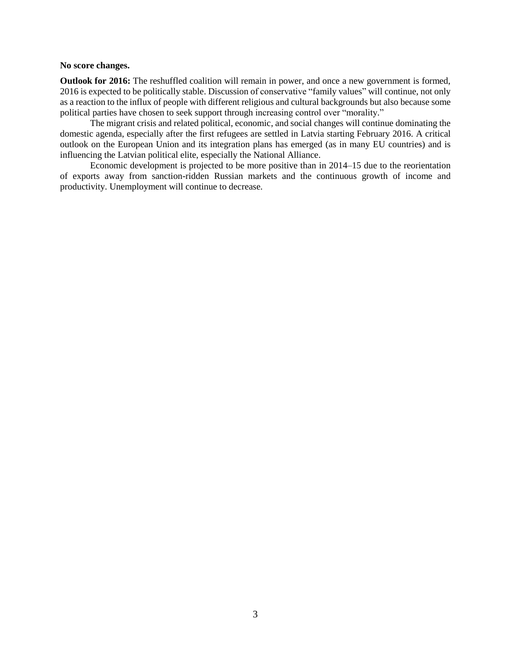#### **No score changes.**

**Outlook for 2016:** The reshuffled coalition will remain in power, and once a new government is formed, 2016 is expected to be politically stable. Discussion of conservative "family values" will continue, not only as a reaction to the influx of people with different religious and cultural backgrounds but also because some political parties have chosen to seek support through increasing control over "morality."

The migrant crisis and related political, economic, and social changes will continue dominating the domestic agenda, especially after the first refugees are settled in Latvia starting February 2016. A critical outlook on the European Union and its integration plans has emerged (as in many EU countries) and is influencing the Latvian political elite, especially the National Alliance.

Economic development is projected to be more positive than in 2014–15 due to the reorientation of exports away from sanction-ridden Russian markets and the continuous growth of income and productivity. Unemployment will continue to decrease.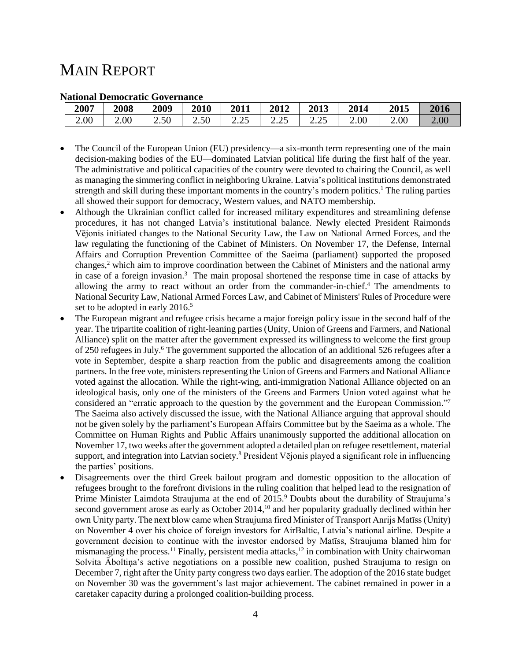# MAIN REPORT

| radonar Democratic Governance |      |      |      |                    |                           |         |      |          |      |
|-------------------------------|------|------|------|--------------------|---------------------------|---------|------|----------|------|
| 2007                          | 2008 | 2009 | 2010 | 2011               | 2012                      | 2013    | 2014 | 2015     | 2016 |
| 2.00                          | 2.00 | 2.50 | 2.50 | $\cap$<br>ل کے ویک | $\cap \subset$<br>ر ے . ب | ل کے وک | 2.00 | $2.00\,$ | 2.00 |

#### **National Democratic Governance**

- The Council of the European Union (EU) presidency—a six-month term representing one of the main decision-making bodies of the EU—dominated Latvian political life during the first half of the year. The administrative and political capacities of the country were devoted to chairing the Council, as well as managing the simmering conflict in neighboring Ukraine. Latvia's political institutions demonstrated strength and skill during these important moments in the country's modern politics.<sup>1</sup> The ruling parties all showed their support for democracy, Western values, and NATO membership.
- Although the Ukrainian conflict called for increased military expenditures and streamlining defense procedures, it has not changed Latvia's institutional balance. Newly elected President Raimonds Vējonis initiated changes to the National Security Law, the Law on National Armed Forces, and the law regulating the functioning of the Cabinet of Ministers. On November 17, the Defense, Internal Affairs and Corruption Prevention Committee of the Saeima (parliament) supported the proposed changes,<sup>2</sup> which aim to improve coordination between the Cabinet of Ministers and the national army in case of a foreign invasion.<sup>3</sup> The main proposal shortened the response time in case of attacks by allowing the army to react without an order from the commander-in-chief.<sup>4</sup> The amendments to National Security Law, National Armed Forces Law, and Cabinet of Ministers' Rules of Procedure were set to be adopted in early 2016.<sup>5</sup>
- The European migrant and refugee crisis became a major foreign policy issue in the second half of the year. The tripartite coalition of right-leaning parties (Unity, Union of Greens and Farmers, and National Alliance) split on the matter after the government expressed its willingness to welcome the first group of 250 refugees in July.<sup>6</sup> The government supported the allocation of an additional 526 refugees after a vote in September, despite a sharp reaction from the public and disagreements among the coalition partners. In the free vote, ministers representing the Union of Greens and Farmers and National Alliance voted against the allocation. While the right-wing, anti-immigration National Alliance objected on an ideological basis, only one of the ministers of the Greens and Farmers Union voted against what he considered an "erratic approach to the question by the government and the European Commission." 7 The Saeima also actively discussed the issue, with the National Alliance arguing that approval should not be given solely by the parliament's European Affairs Committee but by the Saeima as a whole. The Committee on Human Rights and Public Affairs unanimously supported the additional allocation on November 17, two weeks after the government adopted a detailed plan on refugee resettlement, material support, and integration into Latvian society.<sup>8</sup> President Vējonis played a significant role in influencing the parties' positions.
- Disagreements over the third Greek bailout program and domestic opposition to the allocation of refugees brought to the forefront divisions in the ruling coalition that helped lead to the resignation of Prime Minister Laimdota Straujuma at the end of 2015.<sup>9</sup> Doubts about the durability of Straujuma's second government arose as early as October 2014,<sup>10</sup> and her popularity gradually declined within her own Unity party. The next blow came when Straujuma fired Minister of Transport Anrijs Matīss (Unity) on November 4 over his choice of foreign investors for AirBaltic, Latvia's national airline. Despite a government decision to continue with the investor endorsed by Matīss, Straujuma blamed him for mismanaging the process.<sup>11</sup> Finally, persistent media attacks,<sup>12</sup> in combination with Unity chairwoman Solvita Āboltiņa's active negotiations on a possible new coalition, pushed Straujuma to resign on December 7, right after the Unity party congress two days earlier. The adoption of the 2016 state budget on November 30 was the government's last major achievement. The cabinet remained in power in a caretaker capacity during a prolonged coalition-building process.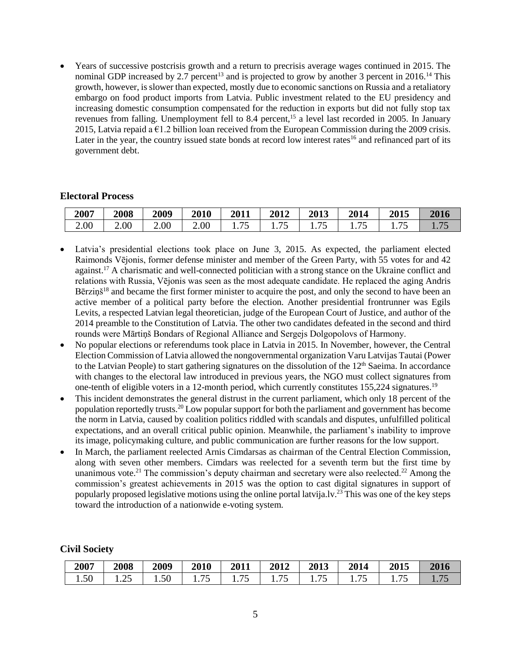Years of successive postcrisis growth and a return to precrisis average wages continued in 2015. The nominal GDP increased by 2.7 percent<sup>13</sup> and is projected to grow by another 3 percent in 2016.<sup>14</sup> This growth, however, is slower than expected, mostly due to economic sanctions on Russia and a retaliatory embargo on food product imports from Latvia. Public investment related to the EU presidency and increasing domestic consumption compensated for the reduction in exports but did not fully stop tax revenues from falling. Unemployment fell to 8.4 percent,<sup>15</sup> a level last recorded in 2005. In January 2015, Latvia repaid a  $\epsilon$ 1.2 billion loan received from the European Commission during the 2009 crisis. Later in the year, the country issued state bonds at record low interest rates<sup>16</sup> and refinanced part of its government debt.

#### **Electoral Process**

| 2007 | <b>2008</b>       | 2009 | 2010 | 2011    | 2012  | 2013   | 2014             | 2015                                        | 2016                   |
|------|-------------------|------|------|---------|-------|--------|------------------|---------------------------------------------|------------------------|
| 2.00 | 2.00 <sub>1</sub> | 2.00 | 2.00 | 75<br>ັ | 1.1 J | 1. I J | $\cdot$ , $\sim$ | $\overline{\phantom{a}}$<br>1. <i>. .</i> . | 7 <sup>r</sup><br>1.1J |

- Latvia's presidential elections took place on June 3, 2015. As expected, the parliament elected Raimonds Vējonis, former defense minister and member of the Green Party, with 55 votes for and 42 against.<sup>17</sup> A charismatic and well-connected politician with a strong stance on the Ukraine conflict and relations with Russia, Vējonis was seen as the most adequate candidate. He replaced the aging Andris Bērziņš<sup>18</sup> and became the first former minister to acquire the post, and only the second to have been an active member of a political party before the election. Another presidential frontrunner was Egils Levits, a respected Latvian legal theoretician, judge of the European Court of Justice, and author of the 2014 preamble to the Constitution of Latvia. The other two candidates defeated in the second and third rounds were Mārtiņš Bondars of Regional Alliance and Sergejs Dolgopolovs of Harmony.
- No popular elections or referendums took place in Latvia in 2015. In November, however, the Central Election Commission of Latvia allowed the nongovernmental organization Varu Latvijas Tautai (Power to the Latvian People) to start gathering signatures on the dissolution of the  $12<sup>th</sup>$  Saeima. In accordance with changes to the electoral law introduced in previous years, the NGO must collect signatures from one-tenth of eligible voters in a 12-month period, which currently constitutes 155,224 signatures.<sup>19</sup>
- This incident demonstrates the general distrust in the current parliament, which only 18 percent of the population reportedly trusts.<sup>20</sup> Low popular support for both the parliament and government has become the norm in Latvia, caused by coalition politics riddled with scandals and disputes, unfulfilled political expectations, and an overall critical public opinion. Meanwhile, the parliament's inability to improve its image, policymaking culture, and public communication are further reasons for the low support.
- In March, the parliament reelected Arnis Cimdarsas as chairman of the Central Election Commission, along with seven other members. Cimdars was reelected for a seventh term but the first time by unanimous vote.<sup>21</sup> The commission's deputy chairman and secretary were also reelected.<sup>22</sup> Among the commission's greatest achievements in 2015 was the option to cast digital signatures in support of popularly proposed legislative motions using the online portal latvija.lv.<sup>23</sup> This was one of the key steps toward the introduction of a nationwide e-voting system.

#### **Civil Society**

| 2007                             | 2008   | 2009 | 2010                 | 2011          | 2012                 | <b>2013</b> | 2014                 | <b>2015</b> | 2016 |
|----------------------------------|--------|------|----------------------|---------------|----------------------|-------------|----------------------|-------------|------|
| $\overline{\phantom{a}}$<br>1.50 | ن سه . | 1.50 | ח ר<br>1. <i>I</i> J | 1. <i>. .</i> | --<br>1 . <i>. .</i> | <b>1.10</b> | $\pi$<br><b>1.10</b> | 1. I J      |      |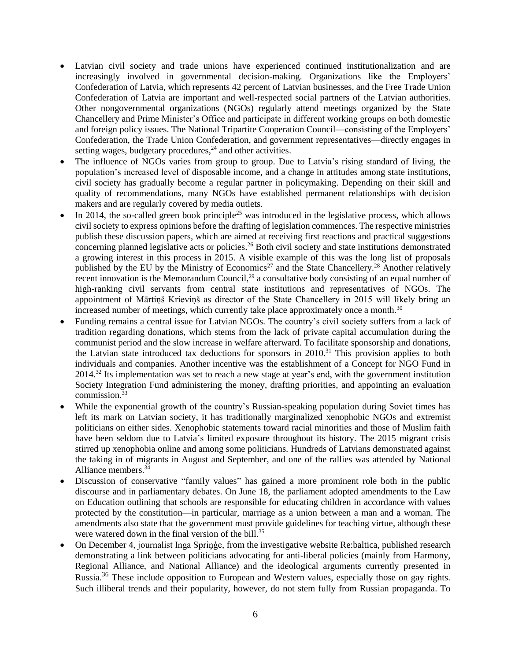- Latvian civil society and trade unions have experienced continued institutionalization and are increasingly involved in governmental decision-making. Organizations like the Employers' Confederation of Latvia, which represents 42 percent of Latvian businesses, and the Free Trade Union Confederation of Latvia are important and well-respected social partners of the Latvian authorities. Other nongovernmental organizations (NGOs) regularly attend meetings organized by the State Chancellery and Prime Minister's Office and participate in different working groups on both domestic and foreign policy issues. The National Tripartite Cooperation Council—consisting of the Employers' Confederation, the Trade Union Confederation, and government representatives—directly engages in setting wages, budgetary procedures, $^{24}$  and other activities.
- The influence of NGOs varies from group to group. Due to Latvia's rising standard of living, the population's increased level of disposable income, and a change in attitudes among state institutions, civil society has gradually become a regular partner in policymaking. Depending on their skill and quality of recommendations, many NGOs have established permanent relationships with decision makers and are regularly covered by media outlets.
- In 2014, the so-called green book principle<sup>25</sup> was introduced in the legislative process, which allows civil society to express opinions before the drafting of legislation commences. The respective ministries publish these discussion papers, which are aimed at receiving first reactions and practical suggestions concerning planned legislative acts or policies.<sup>26</sup> Both civil society and state institutions demonstrated a growing interest in this process in 2015. A visible example of this was the long list of proposals published by the EU by the Ministry of Economics<sup>27</sup> and the State Chancellery.<sup>28</sup> Another relatively recent innovation is the Memorandum Council,<sup>29</sup> a consultative body consisting of an equal number of high-ranking civil servants from central state institutions and representatives of NGOs. The appointment of Mārtiņš Krieviņš as director of the State Chancellery in 2015 will likely bring an increased number of meetings, which currently take place approximately once a month. $30$
- Funding remains a central issue for Latvian NGOs. The country's civil society suffers from a lack of tradition regarding donations, which stems from the lack of private capital accumulation during the communist period and the slow increase in welfare afterward. To facilitate sponsorship and donations, the Latvian state introduced tax deductions for sponsors in 2010.<sup>31</sup> This provision applies to both individuals and companies. Another incentive was the establishment of a Concept for NGO Fund in 2014.<sup>32</sup> Its implementation was set to reach a new stage at year's end, with the government institution Society Integration Fund administering the money, drafting priorities, and appointing an evaluation commission.<sup>33</sup>
- While the exponential growth of the country's Russian-speaking population during Soviet times has left its mark on Latvian society, it has traditionally marginalized xenophobic NGOs and extremist politicians on either sides. Xenophobic statements toward racial minorities and those of Muslim faith have been seldom due to Latvia's limited exposure throughout its history. The 2015 migrant crisis stirred up xenophobia online and among some politicians. Hundreds of Latvians demonstrated against the taking in of migrants in August and September, and one of the rallies was attended by National Alliance members.<sup>34</sup>
- Discussion of conservative "family values" has gained a more prominent role both in the public discourse and in parliamentary debates. On June 18, the parliament adopted amendments to the Law on Education outlining that schools are responsible for educating children in accordance with values protected by the constitution—in particular, marriage as a union between a man and a woman. The amendments also state that the government must provide guidelines for teaching virtue, although these were watered down in the final version of the bill.<sup>35</sup>
- On December 4, journalist Inga Spriņģe, from the investigative website Re:baltica, published research demonstrating a link between politicians advocating for anti-liberal policies (mainly from Harmony, Regional Alliance, and National Alliance) and the ideological arguments currently presented in Russia.<sup>36</sup> These include opposition to European and Western values, especially those on gay rights. Such illiberal trends and their popularity, however, do not stem fully from Russian propaganda. To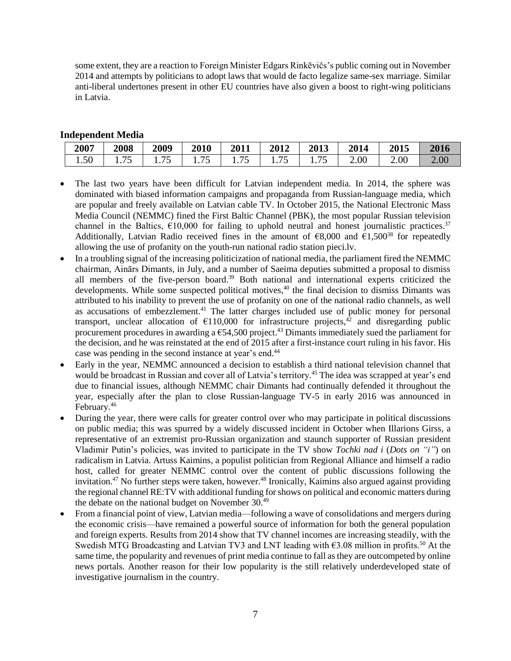some extent, they are a reaction to Foreign Minister Edgars Rinkēvičs's public coming out in November 2014 and attempts by politicians to adopt laws that would de facto legalize same-sex marriage. Similar anti-liberal undertones present in other EU countries have also given a boost to right-wing politicians in Latvia.

### **Independent Media**

| 2007                        | 2008             | 2009                                                      | 2010                               | 2011                  | 2012                       | 2013                                        | 2014 | 2015 | 2016 |
|-----------------------------|------------------|-----------------------------------------------------------|------------------------------------|-----------------------|----------------------------|---------------------------------------------|------|------|------|
| $\sim$ $\sim$<br>51<br>1.JV | ワミ<br>ں ،<br>. . | $\overline{\phantom{0}}$<br>.<br>$\overline{\phantom{0}}$ | $\overline{\phantom{0}}$<br>1. I J | ワミ<br>1. <i>. .</i> . | $\overline{a}$<br>.<br>. . | $\overline{\phantom{m}}$<br>1. <i>. .</i> J | 2.00 | 2.00 | 2.00 |

- The last two years have been difficult for Latvian independent media. In 2014, the sphere was dominated with biased information campaigns and propaganda from Russian-language media, which are popular and freely available on Latvian cable TV. In October 2015, the National Electronic Mass Media Council (NEMMC) fined the First Baltic Channel (PBK), the most popular Russian television channel in the Baltics,  $\epsilon$ 10,000 for failing to uphold neutral and honest journalistic practices.<sup>37</sup> Additionally, Latvian Radio received fines in the amount of  $\epsilon$ 8,000 and  $\epsilon$ 1,500<sup>38</sup> for repeatedly allowing the use of profanity on the youth-run national radio station pieci.lv.
- In a troubling signal of the increasing politicization of national media, the parliament fired the NEMMC chairman, Ainārs Dimants, in July, and a number of Saeima deputies submitted a proposal to dismiss all members of the five-person board.<sup>39</sup> Both national and international experts criticized the developments. While some suspected political motives,<sup>40</sup> the final decision to dismiss Dimants was attributed to his inability to prevent the use of profanity on one of the national radio channels, as well as accusations of embezzlement. $4<sup>1</sup>$  The latter charges included use of public money for personal transport, unclear allocation of  $\epsilon$ 110,000 for infrastructure projects,<sup>42</sup> and disregarding public procurement procedures in awarding a  $654,500$  project.<sup>43</sup> Dimants immediately sued the parliament for the decision, and he was reinstated at the end of 2015 after a first-instance court ruling in his favor. His case was pending in the second instance at year's end.<sup>44</sup>
- Early in the year, NEMMC announced a decision to establish a third national television channel that would be broadcast in Russian and cover all of Latvia's territory.<sup>45</sup> The idea was scrapped at year's end due to financial issues, although NEMMC chair Dimants had continually defended it throughout the year, especially after the plan to close Russian-language TV-5 in early 2016 was announced in February. 46
- During the year, there were calls for greater control over who may participate in political discussions on public media; this was spurred by a widely discussed incident in October when Illarions Girss, a representative of an extremist pro-Russian organization and staunch supporter of Russian president Vladimir Putin's policies, was invited to participate in the TV show *Tochki nad i* (*Dots on "i"*) on radicalism in Latvia. Artuss Kaimins, a populist politician from Regional Alliance and himself a radio host, called for greater NEMMC control over the content of public discussions following the invitation. <sup>47</sup> No further steps were taken, however. <sup>48</sup> Ironically, Kaimins also argued against providing the regional channel RE:TV with additional funding for shows on political and economic matters during the debate on the national budget on November 30. 49
- From a financial point of view, Latvian media—following a wave of consolidations and mergers during the economic crisis—have remained a powerful source of information for both the general population and foreign experts. Results from 2014 show that TV channel incomes are increasing steadily, with the Swedish MTG Broadcasting and Latvian TV3 and LNT leading with  $\epsilon$ 3.08 million in profits.<sup>50</sup> At the same time, the popularity and revenues of print media continue to fall as they are outcompeted by online news portals. Another reason for their low popularity is the still relatively underdeveloped state of investigative journalism in the country.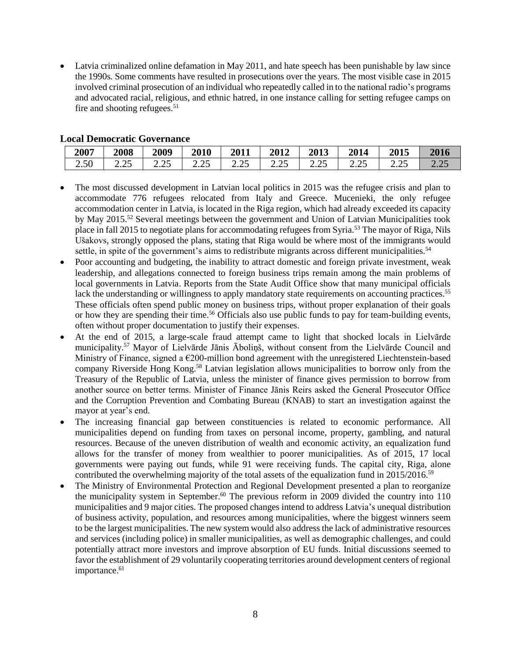Latvia criminalized online defamation in May 2011, and hate speech has been punishable by law since the 1990s. Some comments have resulted in prosecutions over the years. The most visible case in 2015 involved criminal prosecution of an individual who repeatedly called in to the national radio's programs and advocated racial, religious, and ethnic hatred, in one instance calling for setting refugee camps on fire and shooting refugees. $51$ 

| 2007 | 2008          | 2009                | 2010    | 2011                             | 2012                     | 2013           | 2014                | 2015             | 2016 |
|------|---------------|---------------------|---------|----------------------------------|--------------------------|----------------|---------------------|------------------|------|
| 2.50 | າເ<br>ر ے . ب | $\Omega$<br>ر ے . ب | ر ے . ب | າເ<br>$\overline{\phantom{m}}\!$ | $\sim$ $\sim$<br>ر ے . ب | າ ເ<br>ر ے . ب | $\Omega$<br>ل کے وک | $\bigcap$<br>∠.∠ |      |

- The most discussed development in Latvian local politics in 2015 was the refugee crisis and plan to accommodate 776 refugees relocated from Italy and Greece. Mucenieki, the only refugee accommodation center in Latvia, is located in the Riga region, which had already exceeded its capacity by May 2015.<sup>52</sup> Several meetings between the government and Union of Latvian Municipalities took place in fall 2015 to negotiate plans for accommodating refugees from Syria.<sup>53</sup> The mayor of Riga, Nils Ušakovs, strongly opposed the plans, stating that Riga would be where most of the immigrants would settle, in spite of the government's aims to redistribute migrants across different municipalities.<sup>54</sup>
- Poor accounting and budgeting, the inability to attract domestic and foreign private investment, weak leadership, and allegations connected to foreign business trips remain among the main problems of local governments in Latvia. Reports from the State Audit Office show that many municipal officials lack the understanding or willingness to apply mandatory state requirements on accounting practices.<sup>55</sup> These officials often spend public money on business trips, without proper explanation of their goals or how they are spending their time.<sup>56</sup> Officials also use public funds to pay for team-building events, often without proper documentation to justify their expenses.
- At the end of 2015, a large-scale fraud attempt came to light that shocked locals in Lielvārde municipality. <sup>57</sup> Mayor of Lielvārde Jānis Āboliņš, without consent from the Lielvārde Council and Ministry of Finance, signed a €200-million bond agreement with the unregistered Liechtenstein-based company Riverside Hong Kong.<sup>58</sup> Latvian legislation allows municipalities to borrow only from the Treasury of the Republic of Latvia, unless the minister of finance gives permission to borrow from another source on better terms. Minister of Finance Jānis Reirs asked the General Prosecutor Office and the Corruption Prevention and Combating Bureau (KNAB) to start an investigation against the mayor at year's end.
- The increasing financial gap between constituencies is related to economic performance. All municipalities depend on funding from taxes on personal income, property, gambling, and natural resources. Because of the uneven distribution of wealth and economic activity, an equalization fund allows for the transfer of money from wealthier to poorer municipalities. As of 2015, 17 local governments were paying out funds, while 91 were receiving funds. The capital city, Riga, alone contributed the overwhelming majority of the total assets of the equalization fund in 2015/2016.<sup>59</sup>
- The Ministry of Environmental Protection and Regional Development presented a plan to reorganize the municipality system in September. <sup>60</sup> The previous reform in 2009 divided the country into 110 municipalities and 9 major cities. The proposed changes intend to address Latvia's unequal distribution of business activity, population, and resources among municipalities, where the biggest winners seem to be the largest municipalities. The new system would also address the lack of administrative resources and services (including police) in smaller municipalities, as well as demographic challenges, and could potentially attract more investors and improve absorption of EU funds. Initial discussions seemed to favor the establishment of 29 voluntarily cooperating territories around development centers of regional importance.<sup>61</sup>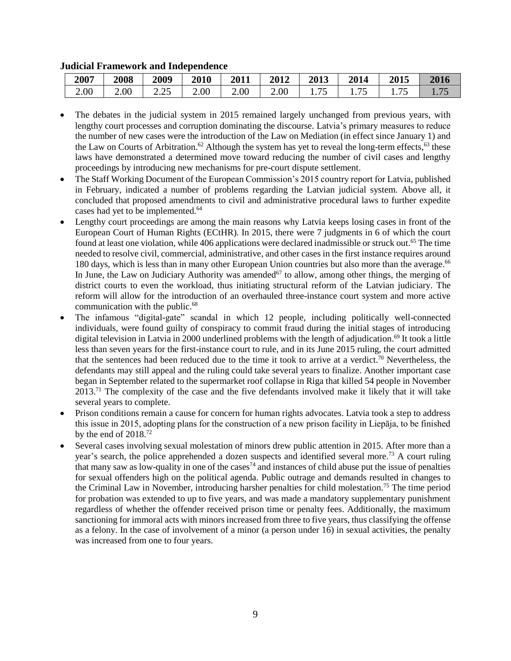|      |             |                          | -    |      |      |                                    |                        |           |        |
|------|-------------|--------------------------|------|------|------|------------------------------------|------------------------|-----------|--------|
| 2007 | <b>2008</b> | 2009                     | 2010 | 2011 | 2012 | 2013                               | 2014                   | 2015      | 2016   |
| 2.00 | 2.00        | $\sim$ $\sim$<br>ل کے وک | 2.00 | 2.00 | 2.00 | $\overline{\phantom{0}}$<br>1. I J | 75<br>$\cdot$ , $\sim$ | 75<br>. J | 1. I J |

#### **Judicial Framework and Independence**

- The debates in the judicial system in 2015 remained largely unchanged from previous years, with lengthy court processes and corruption dominating the discourse. Latvia's primary measures to reduce the number of new cases were the introduction of the Law on Mediation (in effect since January 1) and the Law on Courts of Arbitration.<sup>62</sup> Although the system has yet to reveal the long-term effects,<sup>63</sup> these laws have demonstrated a determined move toward reducing the number of civil cases and lengthy proceedings by introducing new mechanisms for pre-court dispute settlement.
- The Staff Working Document of the European Commission's 2015 country report for Latvia, published in February, indicated a number of problems regarding the Latvian judicial system. Above all, it concluded that proposed amendments to civil and administrative procedural laws to further expedite cases had yet to be implemented.<sup>64</sup>
- Lengthy court proceedings are among the main reasons why Latvia keeps losing cases in front of the European Court of Human Rights (ECtHR). In 2015, there were 7 judgments in 6 of which the court found at least one violation, while 406 applications were declared inadmissible or struck out.<sup>65</sup> The time needed to resolve civil, commercial, administrative, and other cases in the first instance requires around 180 days, which is less than in many other European Union countries but also more than the average.<sup>66</sup> In June, the Law on Judiciary Authority was amended<sup>67</sup> to allow, among other things, the merging of district courts to even the workload, thus initiating structural reform of the Latvian judiciary. The reform will allow for the introduction of an overhauled three-instance court system and more active communication with the public. 68
- The infamous "digital-gate" scandal in which 12 people, including politically well-connected individuals, were found guilty of conspiracy to commit fraud during the initial stages of introducing digital television in Latvia in 2000 underlined problems with the length of adjudication. <sup>69</sup> It took a little less than seven years for the first-instance court to rule, and in its June 2015 ruling, the court admitted that the sentences had been reduced due to the time it took to arrive at a verdict.<sup>70</sup> Nevertheless, the defendants may still appeal and the ruling could take several years to finalize. Another important case began in September related to the supermarket roof collapse in Riga that killed 54 people in November  $2013<sup>71</sup>$  The complexity of the case and the five defendants involved make it likely that it will take several years to complete.
- Prison conditions remain a cause for concern for human rights advocates. Latvia took a step to address this issue in 2015, adopting plans for the construction of a new prison facility in Liepāja, to be finished by the end of  $2018.<sup>72</sup>$
- Several cases involving sexual molestation of minors drew public attention in 2015. After more than a year's search, the police apprehended a dozen suspects and identified several more.<sup>73</sup> A court ruling that many saw as low-quality in one of the cases<sup>74</sup> and instances of child abuse put the issue of penalties for sexual offenders high on the political agenda. Public outrage and demands resulted in changes to the Criminal Law in November, introducing harsher penalties for child molestation.<sup>75</sup> The time period for probation was extended to up to five years, and was made a mandatory supplementary punishment regardless of whether the offender received prison time or penalty fees. Additionally, the maximum sanctioning for immoral acts with minors increased from three to five years, thus classifying the offense as a felony. In the case of involvement of a minor (a person under 16) in sexual activities, the penalty was increased from one to four years.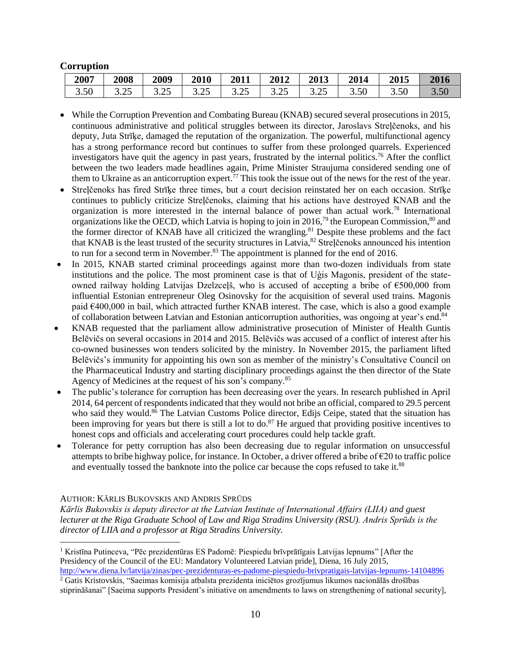# **Corruption**

| 2007 | 2008 | 2009       | 2010                | 2011       | 2012             | 2013            | 2014 | 2015 | 2016 |
|------|------|------------|---------------------|------------|------------------|-----------------|------|------|------|
| 3.50 | (ت⊿ن | つち<br>ل⊶ ل | $\Omega$<br>ں ے . ت | າເ<br>ل⊶ ل | $\gamma$<br>⊶∠.ر | $\Omega$<br>ن⊿. | 3.50 | 3.50 | 3.50 |

- While the Corruption Prevention and Combating Bureau (KNAB) secured several prosecutions in 2015, continuous administrative and political struggles between its director, Jaroslavs Streļčenoks, and his deputy, Juta Strīķe, damaged the reputation of the organization. The powerful, multifunctional agency has a strong performance record but continues to suffer from these prolonged quarrels. Experienced investigators have quit the agency in past years, frustrated by the internal politics.<sup>76</sup> After the conflict between the two leaders made headlines again, Prime Minister Straujuma considered sending one of them to Ukraine as an anticorruption expert.<sup>77</sup> This took the issue out of the news for the rest of the year.
- Streļčenoks has fired Strīke three times, but a court decision reinstated her on each occasion. Strīķe continues to publicly criticize Streļčenoks, claiming that his actions have destroyed KNAB and the organization is more interested in the internal balance of power than actual work.<sup>78</sup> International organizations like the OECD, which Latvia is hoping to join in 2016,<sup>79</sup> the European Commission,<sup>80</sup> and the former director of KNAB have all criticized the wrangling. <sup>81</sup> Despite these problems and the fact that KNAB is the least trusted of the security structures in Latvia,<sup>82</sup> Streļčenoks announced his intention to run for a second term in November.<sup>83</sup> The appointment is planned for the end of 2016.
- In 2015, KNAB started criminal proceedings against more than two-dozen individuals from state institutions and the police. The most prominent case is that of Uģis Magonis, president of the stateowned railway holding Latvijas Dzelzceļš, who is accused of accepting a bribe of  $\epsilon$ 500,000 from influential Estonian entrepreneur Oleg Osinovsky for the acquisition of several used trains. Magonis paid  $\epsilon$ 400,000 in bail, which attracted further KNAB interest. The case, which is also a good example of collaboration between Latvian and Estonian anticorruption authorities, was ongoing at year's end.<sup>84</sup>
- KNAB requested that the parliament allow administrative prosecution of Minister of Health Guntis Belēvičs on several occasions in 2014 and 2015. Belēvičs was accused of a conflict of interest after his co-owned businesses won tenders solicited by the ministry. In November 2015, the parliament lifted Belēvičs's immunity for appointing his own son as member of the ministry's Consultative Council on the Pharmaceutical Industry and starting disciplinary proceedings against the then director of the State Agency of Medicines at the request of his son's company. 85
- The public's tolerance for corruption has been decreasing over the years. In research published in April 2014, 64 percent of respondents indicated that they would not bribe an official, compared to 29.5 percent who said they would.<sup>86</sup> The Latvian Customs Police director, Edijs Ceipe, stated that the situation has been improving for years but there is still a lot to do.<sup>87</sup> He argued that providing positive incentives to honest cops and officials and accelerating court procedures could help tackle graft.
- Tolerance for petty corruption has also been decreasing due to regular information on unsuccessful attempts to bribe highway police, for instance. In October, a driver offered a bribe of  $\epsilon$ 20 to traffic police and eventually tossed the banknote into the police car because the cops refused to take it.<sup>88</sup>

#### AUTHOR: KĀRLIS BUKOVSKIS AND ANDRIS SPRŪDS

 $\overline{a}$ 

*Kārlis Bukovskis is deputy director at the Latvian Institute of International Affairs (LIIA) and guest lecturer at the Riga Graduate School of Law and Riga Stradins University (RSU). Andris Sprūds is the director of LIIA and a professor at Riga Stradins University.*

<sup>1</sup> Kristīna Putinceva, "Pēc prezidentūras ES Padomē: Piespiedu brīvprātīgais Latvijas lepnums" [After the Presidency of the Council of the EU: Mandatory Volunteered Latvian pride], Diena, 16 July 2015, <http://www.diena.lv/latvija/zinas/pec-prezidenturas-es-padome-piespiedu-brivpratigais-latvijas-lepnums-14104896>

<sup>2</sup> Gatis Kristovskis, "Saeimas komisija atbalsta prezidenta iniciētos grozījumus likumos nacionālās drošības stiprināšanai" [Saeima supports President's initiative on amendments to laws on strengthening of national security],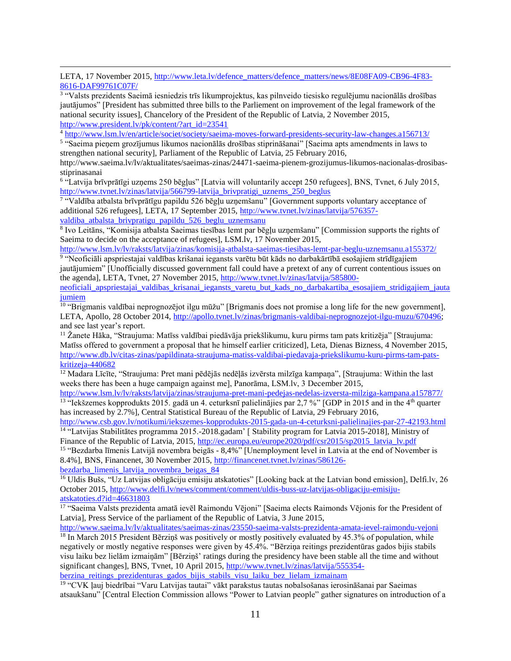LETA, 17 November 2015[, http://www.leta.lv/defence\\_matters/defence\\_matters/news/8E08FA09-CB96-4F83-](http://www.leta.lv/defence_matters/defence_matters/news/8E08FA09-CB96-4F83-8616-DAF99761C07F/) [8616-DAF99761C07F/](http://www.leta.lv/defence_matters/defence_matters/news/8E08FA09-CB96-4F83-8616-DAF99761C07F/)

3 "Valsts prezidents Saeimā iesniedzis trīs likumprojektus, kas pilnveido tiesisko regulējumu nacionālās drošības jautājumos" [President has submitted three bills to the Parliement on improvement of the legal framework of the national security issues], Chancelory of the President of the Republic of Latvia, 2 November 2015, [http://www.president.lv/pk/content/?art\\_id=23541](http://www.president.lv/pk/content/?art_id=23541)

<sup>4</sup> <http://www.lsm.lv/en/article/societ/society/saeima-moves-forward-presidents-security-law-changes.a156713/>

<sup>5</sup> "Saeima pieņem grozījumus likumos nacionālās drošības stiprināšanai" [Saeima apts amendments in laws to strengthen national security], Parliament of the Republic of Latvia, 25 February 2016,

http://www.saeima.lv/lv/aktualitates/saeimas-zinas/24471-saeima-pienem-grozijumus-likumos-nacionalas-drosibasstiprinasanai

<sup>6</sup> "Latvija brīvprātīgi uzņems 250 bēgļus" [Latvia will voluntarily accept 250 refugees], BNS, Tvnet, 6 July 2015, [http://www.tvnet.lv/zinas/latvija/566799-latvija\\_brivpratigi\\_uznems\\_250\\_beglus](http://www.tvnet.lv/zinas/latvija/566799-latvija_brivpratigi_uznems_250_beglus)

7 "Valdība atbalsta brīvprātīgu papildu 526 bēgļu uzņemšanu" [Government supports voluntary acceptance of additional 526 refugees], LETA, 17 September 2015, [http://www.tvnet.lv/zinas/latvija/576357-](http://www.tvnet.lv/zinas/latvija/576357-valdiba_atbalsta_brivpratigu_papildu_526_beglu_uznemsanu)

valdiba atbalsta brivpratigu papildu 526 beglu uznemsanu

 $\overline{a}$ 

8 Ivo Leitāns, "Komisija atbalsta Saeimas tiesības lemt par bēgļu uzņemšanu" [Commission supports the rights of Saeima to decide on the acceptance of refugees], LSM.lv, 17 November 2015,

<http://www.lsm.lv/lv/raksts/latvija/zinas/komisija-atbalsta-saeimas-tiesibas-lemt-par-beglu-uznemsanu.a155372/> <sup>9</sup> "Neoficiāli apspriestajai valdības krišanai iegansts varētu būt kāds no darbakārtībā esošajiem strīdīgajiem

jautājumiem" [Unofficially discussed government fall could have a pretext of any of current contentious issues on the agenda], LETA, Tvnet, 27 November 2015, [http://www.tvnet.lv/zinas/latvija/585800-](http://www.tvnet.lv/zinas/latvija/585800-neoficiali_apspriestajai_valdibas_krisanai_iegansts_varetu_but_kads_no_darbakartiba_esosajiem_stridigajiem_jautajumiem)

[neoficiali\\_apspriestajai\\_valdibas\\_krisanai\\_iegansts\\_varetu\\_but\\_kads\\_no\\_darbakartiba\\_esosajiem\\_stridigajiem\\_jauta](http://www.tvnet.lv/zinas/latvija/585800-neoficiali_apspriestajai_valdibas_krisanai_iegansts_varetu_but_kads_no_darbakartiba_esosajiem_stridigajiem_jautajumiem) [jumiem](http://www.tvnet.lv/zinas/latvija/585800-neoficiali_apspriestajai_valdibas_krisanai_iegansts_varetu_but_kads_no_darbakartiba_esosajiem_stridigajiem_jautajumiem)

<sup>10</sup> "Brigmanis valdībai neprognozējot ilgu mūžu" [Brigmanis does not promise a long life for the new government], LETA, Apollo, 28 October 2014, [http://apollo.tvnet.lv/zinas/brigmanis-valdibai-neprognozejot-ilgu-muzu/670496;](http://apollo.tvnet.lv/zinas/brigmanis-valdibai-neprognozejot-ilgu-muzu/670496) and see last year's report.

<sup>11</sup> Žanete Hāka, "Straujuma: Matīss valdībai piedāvāja priekšlikumu, kuru pirms tam pats kritizēja" [Straujuma: Matīss offered to government a proposal that he himself earlier criticized], Leta, Dienas Bizness, 4 November 2015, [http://www.db.lv/citas-zinas/papildinata-straujuma-matiss-valdibai-piedavaja-priekslikumu-kuru-pirms-tam-pats](http://www.db.lv/citas-zinas/papildinata-straujuma-matiss-valdibai-piedavaja-priekslikumu-kuru-pirms-tam-pats-kritizeja-440682)[kritizeja-440682](http://www.db.lv/citas-zinas/papildinata-straujuma-matiss-valdibai-piedavaja-priekslikumu-kuru-pirms-tam-pats-kritizeja-440682)

<sup>12</sup> Madara Līcīte, "Straujuma: Pret mani pēdējās nedēļās izvērsta milzīga kampaņa", [Straujuma: Within the last weeks there has been a huge campaign against me], Panorāma, LSM.lv, 3 December 2015,

<http://www.lsm.lv/lv/raksts/latvija/zinas/straujuma-pret-mani-pedejas-nedelas-izversta-milziga-kampana.a157877/> <sup>13</sup> "Iekšzemes kopprodukts 2015. gadā un 4. ceturksnī palielinājies par 2,7 %" [GDP in 2015 and in the 4<sup>th</sup> quarter has increased by 2.7%], Central Statistical Bureau of the Republic of Latvia, 29 February 2016,

<http://www.csb.gov.lv/notikumi/iekszemes-kopprodukts-2015-gada-un-4-ceturksni-palielinajies-par-27-42193.html> <sup>14</sup> "Latvijas Stabilitātes programma 2015.-2018.gadam' [ Stability program for Latvia 2015-2018], Ministry of

Finance of the Republic of Latvia, 2015[, http://ec.europa.eu/europe2020/pdf/csr2015/sp2015\\_latvia\\_lv.pdf](http://ec.europa.eu/europe2020/pdf/csr2015/sp2015_latvia_lv.pdf) <sup>15</sup> "Bezdarba līmenis Latvijā novembra beigās - 8,4%" [Unemployment level in Latvia at the end of November is 8.4%], BNS, Financenet, 30 November 2015[, http://financenet.tvnet.lv/zinas/586126-](http://financenet.tvnet.lv/zinas/586126-bezdarba_limenis_latvija_novembra_beigas_84)

[bezdarba\\_limenis\\_latvija\\_novembra\\_beigas\\_84](http://financenet.tvnet.lv/zinas/586126-bezdarba_limenis_latvija_novembra_beigas_84)

<sup>16</sup> Uldis Bušs, "Uz Latvijas obligāciju emisiju atskatoties" [Looking back at the Latvian bond emission], Delfi.lv, 26 October 2015[, http://www.delfi.lv/news/comment/comment/uldis-buss-uz-latvijas-obligaciju-emisiju](http://www.delfi.lv/news/comment/comment/uldis-buss-uz-latvijas-obligaciju-emisiju-atskatoties.d?id=46631803)[atskatoties.d?id=46631803](http://www.delfi.lv/news/comment/comment/uldis-buss-uz-latvijas-obligaciju-emisiju-atskatoties.d?id=46631803)

<sup>17</sup> "Saeima Valsts prezidenta amatā ievēl Raimondu Vējoni" [Saeima elects Raimonds Vējonis for the President of Latvia], Press Service of the parliament of the Republic of Latvia, 3 June 2015,

<http://www.saeima.lv/lv/aktualitates/saeimas-zinas/23550-saeima-valsts-prezidenta-amata-ievel-raimondu-vejoni>

<sup>18</sup> In March 2015 President Bērziņš was positively or mostly positively evaluated by 45.3% of population, while negatively or mostly negative responses were given by 45.4%. "Bērziņa reitings prezidentūras gados bijis stabils visu laiku bez lielām izmaiņām" [Bērziņš' ratings during the presidency have been stable all the time and without significant changes], BNS, Tvnet, 10 April 2015, [http://www.tvnet.lv/zinas/latvija/555354](http://www.tvnet.lv/zinas/latvija/555354-berzina_reitings_prezidenturas_gados_bijis_stabils_visu_laiku_bez_lielam_izmainam) [berzina\\_reitings\\_prezidenturas\\_gados\\_bijis\\_stabils\\_visu\\_laiku\\_bez\\_lielam\\_izmainam](http://www.tvnet.lv/zinas/latvija/555354-berzina_reitings_prezidenturas_gados_bijis_stabils_visu_laiku_bez_lielam_izmainam)

<sup>19</sup> "CVK ļauj biedrībai "Varu Latvijas tautai" vākt parakstus tautas nobalsošanas ierosināšanai par Saeimas atsaukšanu" [Central Election Commission allows "Power to Latvian people" gather signatures on introduction of a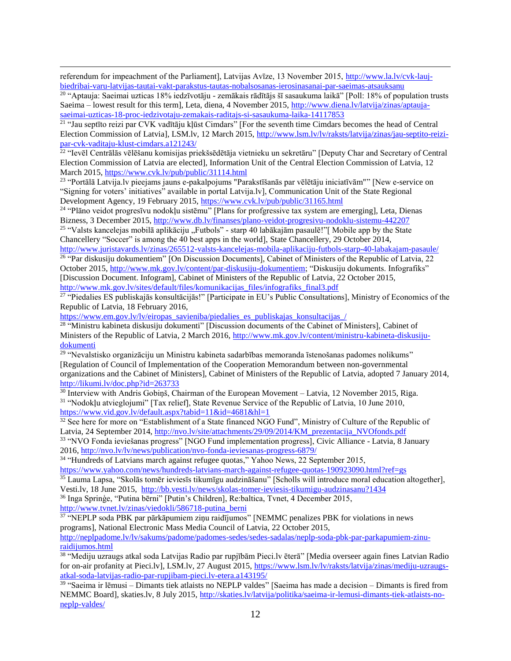referendum for impeachment of the Parliament], Latvijas Avīze, 13 November 2015, [http://www.la.lv/cvk-lauj](http://www.la.lv/cvk-lauj-biedribai-varu-latvijas-tautai-vakt-parakstus-tautas-nobalsosanas-ierosinasanai-par-saeimas-atsauksanu)[biedribai-varu-latvijas-tautai-vakt-parakstus-tautas-nobalsosanas-ierosinasanai-par-saeimas-atsauksanu](http://www.la.lv/cvk-lauj-biedribai-varu-latvijas-tautai-vakt-parakstus-tautas-nobalsosanas-ierosinasanai-par-saeimas-atsauksanu)

 $\overline{a}$ 

<sup>20</sup> "Aptauja: Saeimai uzticas 18% iedzīvotāju - zemākais rādītājs šī sasaukuma laikā" [Poll: 18% of population trusts Saeima – lowest result for this term], Leta, diena, 4 November 2015, [http://www.diena.lv/latvija/zinas/aptauja](http://www.diena.lv/latvija/zinas/aptauja-saeimai-uzticas-18-proc-iedzivotaju-zemakais-raditajs-si-sasaukuma-laika-14117853)[saeimai-uzticas-18-proc-iedzivotaju-zemakais-raditajs-si-sasaukuma-laika-14117853](http://www.diena.lv/latvija/zinas/aptauja-saeimai-uzticas-18-proc-iedzivotaju-zemakais-raditajs-si-sasaukuma-laika-14117853)<br><sup>21</sup> "Jau septīto reizi par CVK vadītāju kļūst Cimdars" [For the seventh time Cimdars becomes the head of Central

Election Commission of Latvia], LSM.lv, 12 March 2015, [http://www.lsm.lv/lv/raksts/latvija/zinas/jau-septito-reizi](http://www.lsm.lv/lv/raksts/latvija/zinas/jau-septito-reizi-par-cvk-vaditaju-klust-cimdars.a121243/)[par-cvk-vaditaju-klust-cimdars.a121243/](http://www.lsm.lv/lv/raksts/latvija/zinas/jau-septito-reizi-par-cvk-vaditaju-klust-cimdars.a121243/)

22 "Ievēl Centrālās vēlēšanu komisijas priekšsēdētāja vietnieku un sekretāru" [Deputy Char and Secretary of Central Election Commission of Latvia are elected], Information Unit of the Central Election Commission of Latvia, 12 March 2015[, https://www.cvk.lv/pub/public/31114.html](https://www.cvk.lv/pub/public/31114.html)

23 "Portālā Latvija.lv pieejams jauns e-pakalpojums "Parakstīšanās par vēlētāju iniciatīvām"" [New e-service on "Signing for voters' initiatives" available in portal Latvija.lv], Communication Unit of the State Regional Development Agency, 19 February 2015[, https://www.cvk.lv/pub/public/31165.html](https://www.cvk.lv/pub/public/31165.html)

24 "Plāno veidot progresīvu nodokļu sistēmu" [Plans for profgressive tax system are emerging], Leta, Dienas Bizness, 3 December 2015,<http://www.db.lv/finanses/plano-veidot-progresivu-nodoklu-sistemu-442207>

<sup>25</sup> "Valsts kancelejas mobilā aplikāciju "Futbols" - starp 40 labākajām pasaulē!"[Mobile app by the State Chancellery "Soccer" is among the 40 best apps in the world], State Chancellery, 29 October 2014, <http://www.juristavards.lv/zinas/265512-valsts-kancelejas-mobila-aplikaciju-futbols-starp-40-labakajam-pasaule/>

<sup>26</sup> "Par diskusiju dokumentiem" [On Discussion Documents], Cabinet of Ministers of the Republic of Latvia, 22 October 2015[, http://www.mk.gov.lv/content/par-diskusiju-dokumentiem;](http://www.mk.gov.lv/content/par-diskusiju-dokumentiem) "Diskusiju dokuments. Infografiks" [Discussion Document. Infogram], Cabinet of Ministers of the Republic of Latvia, 22 October 2015, [http://www.mk.gov.lv/sites/default/files/komunikacijas\\_files/infografiks\\_final3.pdf](http://www.mk.gov.lv/sites/default/files/komunikacijas_files/infografiks_final3.pdf)

27 "Piedalies ES publiskajās konsultācijās!" [Participate in EU's Public Consultations], Ministry of Economics of the Republic of Latvia, 18 February 2016,

[https://www.em.gov.lv/lv/eiropas\\_savieniba/piedalies\\_es\\_publiskajas\\_konsultacijas\\_/](https://www.em.gov.lv/lv/eiropas_savieniba/piedalies_es_publiskajas_konsultacijas_/)

<sup>28</sup> "Ministru kabineta diskusiju dokumenti" [Discussion documents of the Cabinet of Ministers], Cabinet of Ministers of the Republic of Latvia, 2 March 2016, [http://www.mk.gov.lv/content/ministru-kabineta-diskusiju](http://www.mk.gov.lv/content/ministru-kabineta-diskusiju-dokumenti)[dokumenti](http://www.mk.gov.lv/content/ministru-kabineta-diskusiju-dokumenti)

<sup>29</sup> "Nevalstisko organizāciju un Ministru kabineta sadarbības memoranda īstenošanas padomes nolikums" [Regulation of Council of Implementation of the Cooperation Memorandum between non-governmental organizations and the Cabinet of Ministers], Cabinet of Ministers of the Republic of Latvia, adopted 7 January 2014, <http://likumi.lv/doc.php?id=263733>

<sup>30</sup> Interview with Andris Gobiņš, Chairman of the European Movement – Latvia, 12 November 2015, Riga. <sup>31</sup> "Nodokļu atvieglojumi" [Tax relief], State Revenue Service of the Republic of Latvia, 10 June 2010, <https://www.vid.gov.lv/default.aspx?tabid=11&id=4681&hl=1>

<sup>32</sup> See here for more on "Establishment of a State financed NGO Fund", Ministry of Culture of the Republic of Latvia, 24 September 2014, [http://nvo.lv/site/attachments/29/09/2014/KM\\_prezentacija\\_NVOfonds.pdf](http://nvo.lv/site/attachments/29/09/2014/KM_prezentacija_NVOfonds.pdf)

33 "NVO Fonda ieviešanas progress" [NGO Fund implementation progress], Civic Alliance - Latvia, 8 January 2016,<http://nvo.lv/lv/news/publication/nvo-fonda-ieviesanas-progress-6879/>

<sup>34</sup> "Hundreds of Latvians march against refugee quotas," Yahoo News, 22 September 2015, <https://www.yahoo.com/news/hundreds-latvians-march-against-refugee-quotas-190923090.html?ref=gs>

<sup>35</sup> Lauma Lapsa, "Skolās tomēr ieviesīs tikumīgu audzināšanu" [Scholls will introduce moral education altogether], Vesti.lv, 18 June 2015, <http://bb.vesti.lv/news/skolas-tomer-ieviesis-tikumigu-audzinasanu?1434>

<sup>36</sup> Inga Sprinģe, "Putina bērni" [Putin's Children], Re:baltica, Tvnet, 4 December 2015, [http://www.tvnet.lv/zinas/viedokli/586718-putina\\_berni](http://www.tvnet.lv/zinas/viedokli/586718-putina_berni)

37 "NEPLP soda PBK par pārkāpumiem ziņu raidījumos" [NEMMC penalizes PBK for violations in news programs], National Electronic Mass Media Council of Latvia, 22 October 2015,

[http://neplpadome.lv/lv/sakums/padome/padomes-sedes/sedes-sadalas/neplp-soda-pbk-par-parkapumiem-zinu](http://neplpadome.lv/lv/sakums/padome/padomes-sedes/sedes-sadalas/neplp-soda-pbk-par-parkapumiem-zinu-raidijumos.html)[raidijumos.html](http://neplpadome.lv/lv/sakums/padome/padomes-sedes/sedes-sadalas/neplp-soda-pbk-par-parkapumiem-zinu-raidijumos.html)

38 "Mediju uzraugs atkal soda Latvijas Radio par rupjībām Pieci.lv ēterā" [Media overseer again fines Latvian Radio for on-air profanity at Pieci.lv], LSM.lv, 27 August 2015[, https://www.lsm.lv/lv/raksts/latvija/zinas/mediju-uzraugs](https://www.lsm.lv/lv/raksts/latvija/zinas/mediju-uzraugs-atkal-soda-latvijas-radio-par-rupjibam-pieci.lv-etera.a143195/)[atkal-soda-latvijas-radio-par-rupjibam-pieci.lv-etera.a143195/](https://www.lsm.lv/lv/raksts/latvija/zinas/mediju-uzraugs-atkal-soda-latvijas-radio-par-rupjibam-pieci.lv-etera.a143195/)

39 "Saeima ir lēmusi – Dimants tiek atlaists no NEPLP valdes" [Saeima has made a decision – Dimants is fired from NEMMC Board], skaties.lv, 8 July 2015, [http://skaties.lv/latvija/politika/saeima-ir-lemusi-dimants-tiek-atlaists-no](http://skaties.lv/latvija/politika/saeima-ir-lemusi-dimants-tiek-atlaists-no-neplp-valdes/)[neplp-valdes/](http://skaties.lv/latvija/politika/saeima-ir-lemusi-dimants-tiek-atlaists-no-neplp-valdes/)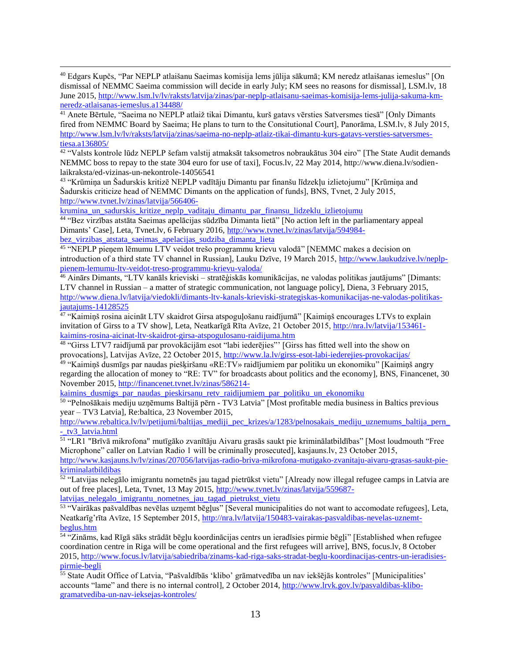$\overline{a}$ <sup>40</sup> Edgars Kupčs, "Par NEPLP atlaišanu Saeimas komisija lems jūlija sākumā; KM neredz atlaišanas iemeslus" [On dismissal of NEMMC Saeima commission will decide in early July; KM sees no reasons for dismissal], LSM.lv, 18 June 2015, [http://www.lsm.lv/lv/raksts/latvija/zinas/par-neplp-atlaisanu-saeimas-komisija-lems-julija-sakuma-km](http://www.lsm.lv/lv/raksts/latvija/zinas/par-neplp-atlaisanu-saeimas-komisija-lems-julija-sakuma-km-neredz-atlaisanas-iemeslus.a134488/)[neredz-atlaisanas-iemeslus.a134488/](http://www.lsm.lv/lv/raksts/latvija/zinas/par-neplp-atlaisanu-saeimas-komisija-lems-julija-sakuma-km-neredz-atlaisanas-iemeslus.a134488/)

<sup>41</sup> Anete Bērtule, "Saeima no NEPLP atlaiž tikai Dimantu, kurš gatavs vērsties Satversmes tiesā" [Only Dimants fired from NEMMC Board by Saeima; He plans to turn to the Consitutional Court], Panorāma, LSM.lv, 8 July 2015, [http://www.lsm.lv/lv/raksts/latvija/zinas/saeima-no-neplp-atlaiz-tikai-dimantu-kurs-gatavs-versties-satversmes](http://www.lsm.lv/lv/raksts/latvija/zinas/saeima-no-neplp-atlaiz-tikai-dimantu-kurs-gatavs-versties-satversmes-tiesa.a136805/)[tiesa.a136805/](http://www.lsm.lv/lv/raksts/latvija/zinas/saeima-no-neplp-atlaiz-tikai-dimantu-kurs-gatavs-versties-satversmes-tiesa.a136805/)

<sup>42</sup> "Valsts kontrole lūdz NEPLP šefam valstij atmaksāt taksometros nobraukātus 304 eiro" [The State Audit demands NEMMC boss to repay to the state 304 euro for use of taxi], Focus.lv, 22 May 2014, http://www.diena.lv/sodienlaikraksta/ed-vizinas-un-nekontrole-14056541

<sup>43</sup> "Krūmiņa un Šadurskis kritizē NEPLP vadītāju Dimantu par finanšu līdzekļu izlietojumu" [Krūmiņa and Šadurskis criticize head of NEMMC Dimants on the application of funds], BNS, Tvnet, 2 July 2015, [http://www.tvnet.lv/zinas/latvija/566406-](http://www.tvnet.lv/zinas/latvija/566406-krumina_un_sadurskis_kritize_neplp_vaditaju_dimantu_par_finansu_lidzeklu_izlietojumu)

krumina un sadurskis kritize neplp vaditaju dimantu par finansu lidzeklu izlietojumu

44 "Bez virzības atstāta Saeimas apelācijas sūdzība Dimanta lietā" [No action left in the parliamentary appeal Dimants' Case], Leta, Tvnet.lv, 6 February 2016, [http://www.tvnet.lv/zinas/latvija/594984](http://www.tvnet.lv/zinas/latvija/594984-bez_virzibas_atstata_saeimas_apelacijas_sudziba_dimanta_lieta) [bez\\_virzibas\\_atstata\\_saeimas\\_apelacijas\\_sudziba\\_dimanta\\_lieta](http://www.tvnet.lv/zinas/latvija/594984-bez_virzibas_atstata_saeimas_apelacijas_sudziba_dimanta_lieta)

45 "NEPLP pieņem lēmumu LTV veidot trešo programmu krievu valodā" [NEMMC makes a decision on introduction of a third state TV channel in Russian], Lauku Dzīve, 19 March 2015, [http://www.laukudzive.lv/neplp](http://www.laukudzive.lv/neplp-pienem-lemumu-ltv-veidot-treso-programmu-krievu-valoda/)[pienem-lemumu-ltv-veidot-treso-programmu-krievu-valoda/](http://www.laukudzive.lv/neplp-pienem-lemumu-ltv-veidot-treso-programmu-krievu-valoda/)

<sup>46</sup> Ainārs Dimants, "LTV kanāls krieviski – stratēģiskās komunikācijas, ne valodas politikas jautājums" [Dimants: LTV channel in Russian – a matter of strategic communication, not language policy], Diena, 3 February 2015, [http://www.diena.lv/latvija/viedokli/dimants-ltv-kanals-krieviski-strategiskas-komunikacijas-ne-valodas-politikas](http://www.diena.lv/latvija/viedokli/dimants-ltv-kanals-krieviski-strategiskas-komunikacijas-ne-valodas-politikas-jautajums-14128525)[jautajums-14128525](http://www.diena.lv/latvija/viedokli/dimants-ltv-kanals-krieviski-strategiskas-komunikacijas-ne-valodas-politikas-jautajums-14128525)

<sup>47</sup> "Kaimiņš rosina aicināt LTV skaidrot Girsa atspoguļošanu raidījumā" [Kaimiņš encourages LTVs to explain invitation of Girss to a TV show], Leta, Neatkarīgā Rīta Avīze, 21 October 2015, [http://nra.lv/latvija/153461](http://nra.lv/latvija/153461-kaimins-rosina-aicinat-ltv-skaidrot-girsa-atspogulosanu-raidijuma.htm) [kaimins-rosina-aicinat-ltv-skaidrot-girsa-atspogulosanu-raidijuma.htm](http://nra.lv/latvija/153461-kaimins-rosina-aicinat-ltv-skaidrot-girsa-atspogulosanu-raidijuma.htm)

48 "Girss LTV7 raidījumā par provokācijām esot "labi iederējies"' [Girss has fitted well into the show on provocations], Latvijas Avīze, 22 October 2015,<http://www.la.lv/girss-esot-labi-iederejies-provokacijas/>

49 "Kaimiņš dusmīgs par naudas piešķiršanu «RE:TV» raidījumiem par politiku un ekonomiku" [Kaimiņš angry regarding the allocation of money to "RE: TV" for broadcasts about politics and the economy], BNS, Financenet, 30 November 2015[, http://financenet.tvnet.lv/zinas/586214-](http://financenet.tvnet.lv/zinas/586214-kaimins_dusmigs_par_naudas_pieskirsanu_retv_raidijumiem_par_politiku_un_ekonomiku)

kaimins dusmigs par naudas pieskirsanu retv raidijumiem par politiku un ekonomiku

<sup>50</sup> "Pelnošākais mediju uzņēmums Baltijā pērn - TV3 Latvia" [Most profitable media business in Baltics previous year – TV3 Latvia], Re:baltica, 23 November 2015,

[http://www.rebaltica.lv/lv/petijumi/baltijas\\_mediji\\_pec\\_krizes/a/1283/pelnosakais\\_mediju\\_uznemums\\_baltija\\_pern\\_](http://www.rebaltica.lv/lv/petijumi/baltijas_mediji_pec_krizes/a/1283/pelnosakais_mediju_uznemums_baltija_pern_-_tv3_latvia.html) - tv3\_latvia.html

51 "LR1 "Brīvā mikrofona" mutīgāko zvanītāju Aivaru grasās saukt pie kriminālatbildības" [Most loudmouth "Free Microphone" caller on Latvian Radio 1 will be criminally prosecuted], kasjauns.lv, 23 October 2015,

[http://www.kasjauns.lv/lv/zinas/207056/latvijas-radio-briva-mikrofona-mutigako-zvanitaju-aivaru-grasas-saukt-pie](http://www.kasjauns.lv/lv/zinas/207056/latvijas-radio-briva-mikrofona-mutigako-zvanitaju-aivaru-grasas-saukt-pie-kriminalatbildibas)[kriminalatbildibas](http://www.kasjauns.lv/lv/zinas/207056/latvijas-radio-briva-mikrofona-mutigako-zvanitaju-aivaru-grasas-saukt-pie-kriminalatbildibas)

52 "Latvijas nelegālo imigrantu nometnēs jau tagad pietrūkst vietu" [Already now illegal refugee camps in Latvia are out of free places], Leta, Tvnet, 13 May 2015, [http://www.tvnet.lv/zinas/latvija/559687-](http://www.tvnet.lv/zinas/latvija/559687-latvijas_nelegalo_imigrantu_nometnes_jau_tagad_pietrukst_vietu)

[latvijas\\_nelegalo\\_imigrantu\\_nometnes\\_jau\\_tagad\\_pietrukst\\_vietu](http://www.tvnet.lv/zinas/latvija/559687-latvijas_nelegalo_imigrantu_nometnes_jau_tagad_pietrukst_vietu)

53 "Vairākas pašvaldības nevēlas uzņemt bēgļus" [Several municipalities do not want to accomodate refugees], Leta, Neatkarīg'rīta Avīze, 15 September 2015, [http://nra.lv/latvija/150483-vairakas-pasvaldibas-nevelas-uznemt](http://nra.lv/latvija/150483-vairakas-pasvaldibas-nevelas-uznemt-beglus.htm)[beglus.htm](http://nra.lv/latvija/150483-vairakas-pasvaldibas-nevelas-uznemt-beglus.htm)

54 "Zināms, kad Rīgā sāks strādāt bēgļu koordinācijas centrs un ieradīsies pirmie bēgļi" [Established when refugee coordination centre in Riga will be come operational and the first refugees will arrive], BNS, focus.lv, 8 October 2015, [http://www.focus.lv/latvija/sabiedriba/zinams-kad-riga-saks-stradat-beglu-koordinacijas-centrs-un-ieradisies](http://www.focus.lv/latvija/sabiedriba/zinams-kad-riga-saks-stradat-beglu-koordinacijas-centrs-un-ieradisies-pirmie-begli)[pirmie-begli](http://www.focus.lv/latvija/sabiedriba/zinams-kad-riga-saks-stradat-beglu-koordinacijas-centrs-un-ieradisies-pirmie-begli)

<sup>55</sup> State Audit Office of Latvia, "Pašvaldībās 'klibo' grāmatvedība un nav iekšējās kontroles" [Municipalities' accounts "lame" and there is no internal control], 2 October 2014, [http://www.lrvk.gov.lv/pasvaldibas-klibo](http://www.lrvk.gov.lv/pasvaldibas-klibo-gramatvediba-un-nav-ieksejas-kontroles/)[gramatvediba-un-nav-ieksejas-kontroles/](http://www.lrvk.gov.lv/pasvaldibas-klibo-gramatvediba-un-nav-ieksejas-kontroles/)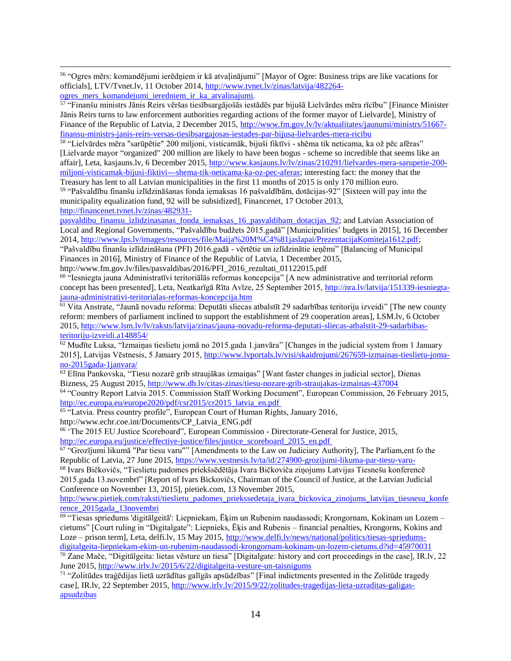56 "Ogres mērs: komandējumi ierēdņiem ir kā atvaļinājumi" [Mayor of Ogre: Business trips are like vacations for officials], LTV/Tvnet.lv, 11 October 2014, [http://www.tvnet.lv/zinas/latvija/482264-](http://www.tvnet.lv/zinas/latvija/482264-ogres_mers_komandejumi_ieredniem_ir_ka_atvalinajumi)

[ogres\\_mers\\_komandejumi\\_ieredniem\\_ir\\_ka\\_atvalinajumi.](http://www.tvnet.lv/zinas/latvija/482264-ogres_mers_komandejumi_ieredniem_ir_ka_atvalinajumi)

 $\overline{a}$ 

<sup>57</sup> "Finanšu ministrs Jānis Reirs vēršas tiesībsargājošās iestādēs par bijušā Lielvārdes mēra rīcību" [Finance Minister Jānis Reirs turns to law enforcement authorities regarding actions of the former mayor of Lielvarde], Ministry of Finance of the Republic of Latvia, 2 December 2015, [http://www.fm.gov.lv/lv/aktualitates/jaunumi/ministrs/51667](http://www.fm.gov.lv/lv/aktualitates/jaunumi/ministrs/51667-finansu-ministrs-janis-reirs-versas-tiesibsargajosas-iestades-par-bijusa-lielvardes-mera-ricibu) [finansu-ministrs-janis-reirs-versas-tiesibsargajosas-iestades-par-bijusa-lielvardes-mera-ricibu](http://www.fm.gov.lv/lv/aktualitates/jaunumi/ministrs/51667-finansu-ministrs-janis-reirs-versas-tiesibsargajosas-iestades-par-bijusa-lielvardes-mera-ricibu)

58 "Lielvārdes mēra "sarūpētie" 200 miljoni, visticamāk, bijuši fiktīvi - shēma tik neticama, ka ož pēc afēras" [Lielvarde mayor "organized" 200 million are likely to have been bogus - scheme so incredible that seems like an affair], Leta, kasjauns.lv, 6 December 2015, [http://www.kasjauns.lv/lv/zinas/210291/lielvardes-mera-sarupetie-200](http://www.kasjauns.lv/lv/zinas/210291/lielvardes-mera-sarupetie-200-miljoni-visticamak-bijusi-fiktivi---shema-tik-neticama-ka-oz-pec-aferas) [miljoni-visticamak-bijusi-fiktivi---shema-tik-neticama-ka-oz-pec-aferas;](http://www.kasjauns.lv/lv/zinas/210291/lielvardes-mera-sarupetie-200-miljoni-visticamak-bijusi-fiktivi---shema-tik-neticama-ka-oz-pec-aferas) interesting fact: the money that the

Treasury has lent to all Latvian municipalities in the first 11 months of 2015 is only 170 million euro. <sup>59</sup> "Pašvaldību finanšu izlīdzināšanas fonda iemaksas 16 pašvaldībām, dotācijas-92" [Sixteen will pay into the municipality equalization fund, 92 will be subsidized], Financenet, 17 October 2013, [http://financenet.tvnet.lv/zinas/482931-](http://financenet.tvnet.lv/zinas/482931-pasvaldibu_finansu_izlidzinasanas_fonda_iemaksas_16_pasvaldibam_dotacijas_92)

pasvaldibu finansu izlidzinasanas fonda iemaksas 16 pasvaldibam dotacijas 92; and Latvian Association of Local and Regional Governments, "Pašvaldību budžets 2015.gadā" [Municipalities' budgets in 2015], 16 December 2014, [http://www.lps.lv/images/resources/file/Maija%20M%C4%81jaslapai/PrezentacijaKomiteja1612.pdf;](http://www.lps.lv/images/resources/file/Maija%20M%C4%81jaslapai/PrezentacijaKomiteja1612.pdf)

"Pašvaldību finanšu izlīdzināšana (PFI) 2016.gadā - vērtētie un izlīdzinātie ieņēmi" [Balancing of Municipal Finances in 2016], Ministry of Finance of the Republic of Latvia, 1 December 2015,

http://www.fm.gov.lv/files/pasvaldibas/2016/PFI\_2016\_rezultati\_01122015.pdf

60 "Iesniegta jauna Administratīvi teritoriālās reformas koncepcija" [A new administrative and territorial reform concept has been presented], Leta, Neatkarīgā Rīta Avīze, 25 September 2015, [http://nra.lv/latvija/151339-iesniegta](http://nra.lv/latvija/151339-iesniegta-jauna-administrativi-teritorialas-reformas-koncepcija.htm)[jauna-administrativi-teritorialas-reformas-koncepcija.htm](http://nra.lv/latvija/151339-iesniegta-jauna-administrativi-teritorialas-reformas-koncepcija.htm)

<sup>61</sup> Vita Anstrate, "Jaunā novadu reforma: Deputāti sliecas atbalstīt 29 sadarbības teritoriju izveidi" [The new county reform: members of parliament inclined to support the establishment of 29 cooperation areas], LSM.lv, 6 October 2015, [http://www.lsm.lv/lv/raksts/latvija/zinas/jauna-novadu-reforma-deputati-sliecas-atbalstit-29-sadarbibas](http://www.lsm.lv/lv/raksts/latvija/zinas/jauna-novadu-reforma-deputati-sliecas-atbalstit-29-sadarbibas-teritoriju-izveidi.a148854/)[teritoriju-izveidi.a148854/](http://www.lsm.lv/lv/raksts/latvija/zinas/jauna-novadu-reforma-deputati-sliecas-atbalstit-29-sadarbibas-teritoriju-izveidi.a148854/)

 $\frac{62}{2}$  Mudīte Luksa, "Izmaiņas tieslietu jomā no 2015.gada 1.janvāra" [Changes in the judicial system from 1 January 2015], Latvijas Vēstnesis, 5 January 2015, [http://www.lvportals.lv/visi/skaidrojumi/267659-izmainas-tieslietu-joma](http://www.lvportals.lv/visi/skaidrojumi/267659-izmainas-tieslietu-joma-no-2015gada-1janvara/)[no-2015gada-1janvara/](http://www.lvportals.lv/visi/skaidrojumi/267659-izmainas-tieslietu-joma-no-2015gada-1janvara/)

<sup>63</sup> Elīna Pankovska, "Tiesu nozarē grib straujākas izmaiņas" [Want faster changes in judicial sector], Dienas Bizness, 25 August 2015,<http://www.db.lv/citas-zinas/tiesu-nozare-grib-straujakas-izmainas-437004>

<sup>64</sup> "Country Report Latvia 2015. Commission Staff Working Document", European Commission, 26 February 2015, [http://ec.europa.eu/europe2020/pdf/csr2015/cr2015\\_latvia\\_en.pdf](http://ec.europa.eu/europe2020/pdf/csr2015/cr2015_latvia_en.pdf)

<sup>65</sup> "Latvia. Press country profile", European Court of Human Rights, January 2016, http://www.echr.coe.int/Documents/CP\_Latvia\_ENG.pdf

<sup>66</sup> 'The 2015 EU Justice Scoreboard'', European Commission - Directorate-General for Justice, 2015,

[http://ec.europa.eu/justice/effective-justice/files/justice\\_scoreboard\\_2015\\_en.pdf](http://ec.europa.eu/justice/effective-justice/files/justice_scoreboard_2015_en.pdf)<br><sup>67</sup> "Grozījumi likumā "Par tiesu varu"" [Amendments to the Law on Judiciary Authority], The Parliam,ent fo the Republic of Latvia, 27 June 2015,<https://www.vestnesis.lv/ta/id/274900-grozijumi-likuma-par-tiesu-varu->

<sup>68</sup> Ivars Bičkovičs, "Tieslietu padomes priekšsēdētāja Ivara Bičkoviča ziņojums Latvijas Tiesnešu konferencē 2015.gada 13.novembrī" [Report of Ivars Bickovičs, Chairman of the Council of Justice, at the Latvian Judicial Conference on November 13, 2015], pietiek.com, 13 November 2015,

[http://www.pietiek.com/raksti/tieslietu\\_padomes\\_priekssedetaja\\_ivara\\_bickovica\\_zinojums\\_latvijas\\_tiesnesu\\_konfe](http://www.pietiek.com/raksti/tieslietu_padomes_priekssedetaja_ivara_bickovica_zinojums_latvijas_tiesnesu_konference_2015gada_13novembri) [rence\\_2015gada\\_13novembri](http://www.pietiek.com/raksti/tieslietu_padomes_priekssedetaja_ivara_bickovica_zinojums_latvijas_tiesnesu_konference_2015gada_13novembri)

69 "Tiesas spriedums 'digitālgeitā': Liepniekam, Ēķim un Rubenim naudassodi; Krongornam, Kokinam un Lozem – cietums" [Court ruling in "Digitalgate": Liepnieks, Ēķis and Rubenis – financial penalties, Krongorns, Kokins and Loze – prison term], Leta, delfi.lv, 15 May 2015, [http://www.delfi.lv/news/national/politics/tiesas-spriedums](http://www.delfi.lv/news/national/politics/tiesas-spriedums-digitalgeita-liepniekam-ekim-un-rubenim-naudassodi-krongornam-kokinam-un-lozem-cietums.d?id=45970031)[digitalgeita-liepniekam-ekim-un-rubenim-naudassodi-krongornam-kokinam-un-lozem-cietums.d?id=45970031](http://www.delfi.lv/news/national/politics/tiesas-spriedums-digitalgeita-liepniekam-ekim-un-rubenim-naudassodi-krongornam-kokinam-un-lozem-cietums.d?id=45970031)

<sup>70</sup> Zane Mače, "Digitālgeita: lietas vēsture un tiesa" [Digitalgate: history and cort proceedings in the case], IR.lv, 22 June 2015,<http://www.irlv.lv/2015/6/22/digitalgeita-vesture-un-taisnigums>

<sup>71</sup> "Zolitūdes traģēdijas lietā uzrādītas galīgās apsūdzības" [Final indictments presented in the Zolitūde tragedy case], IR.lv, 22 September 2015, [http://www.irlv.lv/2015/9/22/zolitudes-tragedijas-lieta-uzraditas-galigas](http://www.irlv.lv/2015/9/22/zolitudes-tragedijas-lieta-uzraditas-galigas-apsudzibas)[apsudzibas](http://www.irlv.lv/2015/9/22/zolitudes-tragedijas-lieta-uzraditas-galigas-apsudzibas)